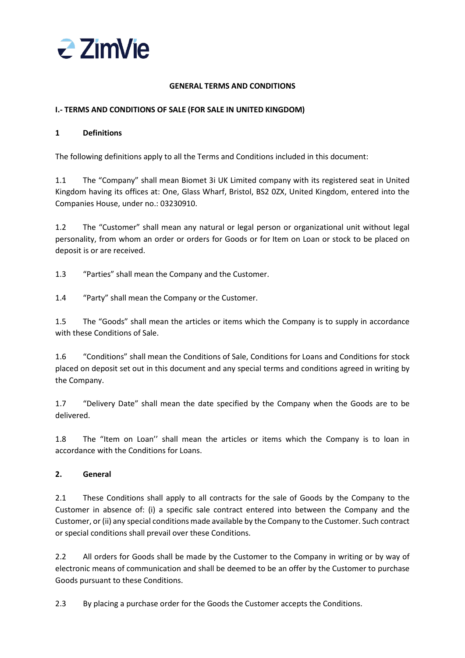

### **GENERAL TERMS AND CONDITIONS**

### **I.- TERMS AND CONDITIONS OF SALE (FOR SALE IN UNITED KINGDOM)**

### **1 Definitions**

The following definitions apply to all the Terms and Conditions included in this document:

1.1 The "Company" shall mean Biomet 3i UK Limited company with its registered seat in United Kingdom having its offices at: One, Glass Wharf, Bristol, BS2 0ZX, United Kingdom, entered into the Companies House, under no.: 03230910.

1.2 The "Customer" shall mean any natural or legal person or organizational unit without legal personality, from whom an order or orders for Goods or for Item on Loan or stock to be placed on deposit is or are received.

1.3 "Parties" shall mean the Company and the Customer.

1.4 "Party" shall mean the Company or the Customer.

1.5 The "Goods" shall mean the articles or items which the Company is to supply in accordance with these Conditions of Sale.

1.6 "Conditions" shall mean the Conditions of Sale, Conditions for Loans and Conditions for stock placed on deposit set out in this document and any special terms and conditions agreed in writing by the Company.

1.7 "Delivery Date" shall mean the date specified by the Company when the Goods are to be delivered.

1.8 The "Item on Loan" shall mean the articles or items which the Company is to loan in accordance with the Conditions for Loans.

## **2. General**

2.1 These Conditions shall apply to all contracts for the sale of Goods by the Company to the Customer in absence of: (i) a specific sale contract entered into between the Company and the Customer, or (ii) any special conditions made available by the Company to the Customer. Such contract or special conditions shall prevail over these Conditions.

2.2 All orders for Goods shall be made by the Customer to the Company in writing or by way of electronic means of communication and shall be deemed to be an offer by the Customer to purchase Goods pursuant to these Conditions.

2.3 By placing a purchase order for the Goods the Customer accepts the Conditions.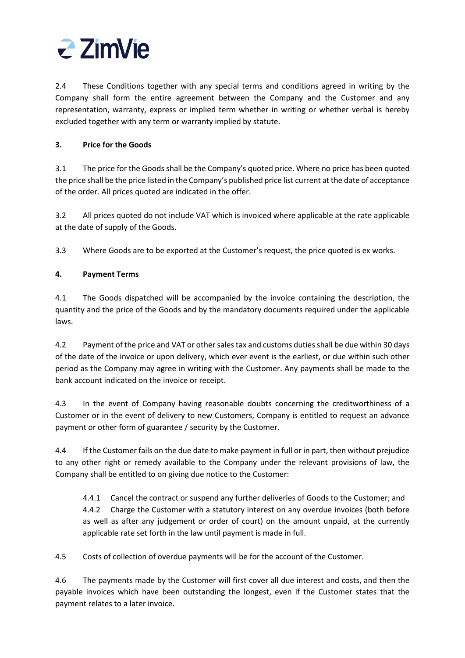

2.4 These Conditions together with any special terms and conditions agreed in writing by the Company shall form the entire agreement between the Company and the Customer and any representation, warranty, express or implied term whether in writing or whether verbal is hereby excluded together with any term or warranty implied by statute.

## **3. Price for the Goods**

3.1 The price for the Goods shall be the Company's quoted price. Where no price has been quoted the price shall be the price listed in the Company's published price list current at the date of acceptance of the order. All prices quoted are indicated in the offer.

3.2 All prices quoted do not include VAT which is invoiced where applicable at the rate applicable at the date of supply of the Goods.

3.3 Where Goods are to be exported at the Customer's request, the price quoted is ex works.

## **4. Payment Terms**

4.1 The Goods dispatched will be accompanied by the invoice containing the description, the quantity and the price of the Goods and by the mandatory documents required under the applicable laws.

4.2 Payment of the price and VAT or other sales tax and customs duties shall be due within 30 days of the date of the invoice or upon delivery, which ever event is the earliest, or due within such other period as the Company may agree in writing with the Customer. Any payments shall be made to the bank account indicated on the invoice or receipt.

4.3 In the event of Company having reasonable doubts concerning the creditworthiness of a Customer or in the event of delivery to new Customers, Company is entitled to request an advance payment or other form of guarantee / security by the Customer.

4.4 If the Customer fails on the due date to make payment in full or in part, then without prejudice to any other right or remedy available to the Company under the relevant provisions of law, the Company shall be entitled to on giving due notice to the Customer:

4.4.1 Cancel the contract or suspend any further deliveries of Goods to the Customer; and 4.4.2 Charge the Customer with a statutory interest on any overdue invoices (both before as well as after any judgement or order of court) on the amount unpaid, at the currently applicable rate set forth in the law until payment is made in full.

4.5 Costs of collection of overdue payments will be for the account of the Customer.

4.6 The payments made by the Customer will first cover all due interest and costs, and then the payable invoices which have been outstanding the longest, even if the Customer states that the payment relates to a later invoice.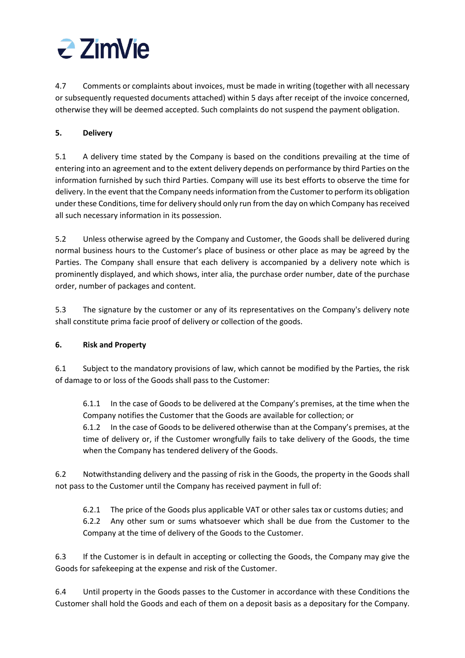

4.7 Comments or complaints about invoices, must be made in writing (together with all necessary or subsequently requested documents attached) within 5 days after receipt of the invoice concerned, otherwise they will be deemed accepted. Such complaints do not suspend the payment obligation.

## **5. Delivery**

5.1 A delivery time stated by the Company is based on the conditions prevailing at the time of entering into an agreement and to the extent delivery depends on performance by third Parties on the information furnished by such third Parties. Company will use its best efforts to observe the time for delivery. In the event that the Company needs information from the Customer to perform its obligation under these Conditions, time for delivery should only run from the day on which Company has received all such necessary information in its possession.

5.2 Unless otherwise agreed by the Company and Customer, the Goods shall be delivered during normal business hours to the Customer's place of business or other place as may be agreed by the Parties. The Company shall ensure that each delivery is accompanied by a delivery note which is prominently displayed, and which shows, inter alia, the purchase order number, date of the purchase order, number of packages and content.

5.3 The signature by the customer or any of its representatives on the Company's delivery note shall constitute prima facie proof of delivery or collection of the goods.

# **6. Risk and Property**

6.1 Subject to the mandatory provisions of law, which cannot be modified by the Parties, the risk of damage to or loss of the Goods shall pass to the Customer:

6.1.1 In the case of Goods to be delivered at the Company's premises, at the time when the Company notifies the Customer that the Goods are available for collection; or 6.1.2 In the case of Goods to be delivered otherwise than at the Company's premises, at the

time of delivery or, if the Customer wrongfully fails to take delivery of the Goods, the time when the Company has tendered delivery of the Goods.

6.2 Notwithstanding delivery and the passing of risk in the Goods, the property in the Goods shall not pass to the Customer until the Company has received payment in full of:

6.2.1 The price of the Goods plus applicable VAT or other sales tax or customs duties; and 6.2.2 Any other sum or sums whatsoever which shall be due from the Customer to the Company at the time of delivery of the Goods to the Customer.

6.3 If the Customer is in default in accepting or collecting the Goods, the Company may give the Goods for safekeeping at the expense and risk of the Customer.

6.4 Until property in the Goods passes to the Customer in accordance with these Conditions the Customer shall hold the Goods and each of them on a deposit basis as a depositary for the Company.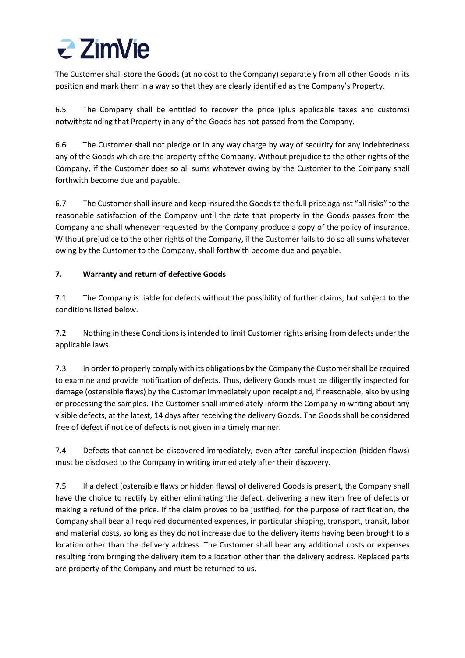

The Customer shall store the Goods (at no cost to the Company) separately from all other Goods in its position and mark them in a way so that they are clearly identified as the Company's Property.

6.5 The Company shall be entitled to recover the price (plus applicable taxes and customs) notwithstanding that Property in any of the Goods has not passed from the Company.

6.6 The Customer shall not pledge or in any way charge by way of security for any indebtedness any of the Goods which are the property of the Company. Without prejudice to the other rights of the Company, if the Customer does so all sums whatever owing by the Customer to the Company shall forthwith become due and payable.

6.7 The Customer shall insure and keep insured the Goods to the full price against "all risks" to the reasonable satisfaction of the Company until the date that property in the Goods passes from the Company and shall whenever requested by the Company produce a copy of the policy of insurance. Without prejudice to the other rights of the Company, if the Customer fails to do so all sums whatever owing by the Customer to the Company, shall forthwith become due and payable.

## **7. Warranty and return of defective Goods**

7.1 The Company is liable for defects without the possibility of further claims, but subject to the conditions listed below.

7.2 Nothing in these Conditions is intended to limit Customer rights arising from defects under the applicable laws.

7.3 In order to properly comply with its obligations by the Company the Customer shall be required to examine and provide notification of defects. Thus, delivery Goods must be diligently inspected for damage (ostensible flaws) by the Customer immediately upon receipt and, if reasonable, also by using or processing the samples. The Customer shall immediately inform the Company in writing about any visible defects, at the latest, 14 days after receiving the delivery Goods. The Goods shall be considered free of defect if notice of defects is not given in a timely manner.

7.4 Defects that cannot be discovered immediately, even after careful inspection (hidden flaws) must be disclosed to the Company in writing immediately after their discovery.

7.5 If a defect (ostensible flaws or hidden flaws) of delivered Goods is present, the Company shall have the choice to rectify by either eliminating the defect, delivering a new item free of defects or making a refund of the price. If the claim proves to be justified, for the purpose of rectification, the Company shall bear all required documented expenses, in particular shipping, transport, transit, labor and material costs, so long as they do not increase due to the delivery items having been brought to a location other than the delivery address. The Customer shall bear any additional costs or expenses resulting from bringing the delivery item to a location other than the delivery address. Replaced parts are property of the Company and must be returned to us.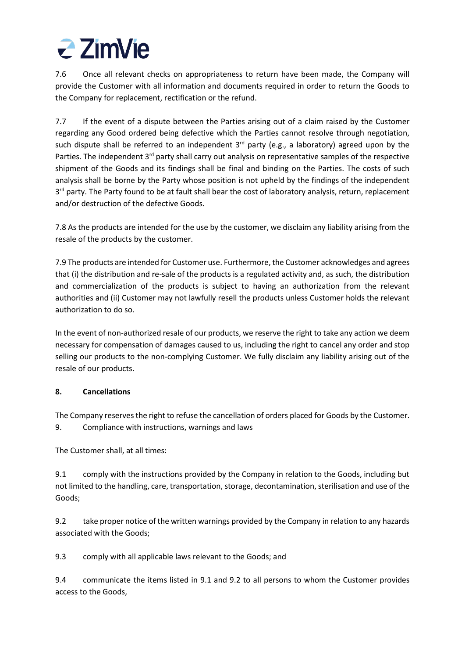

7.6 Once all relevant checks on appropriateness to return have been made, the Company will provide the Customer with all information and documents required in order to return the Goods to the Company for replacement, rectification or the refund.

7.7 If the event of a dispute between the Parties arising out of a claim raised by the Customer regarding any Good ordered being defective which the Parties cannot resolve through negotiation, such dispute shall be referred to an independent  $3<sup>rd</sup>$  party (e.g., a laboratory) agreed upon by the Parties. The independent 3<sup>rd</sup> party shall carry out analysis on representative samples of the respective shipment of the Goods and its findings shall be final and binding on the Parties. The costs of such analysis shall be borne by the Party whose position is not upheld by the findings of the independent 3<sup>rd</sup> party. The Party found to be at fault shall bear the cost of laboratory analysis, return, replacement and/or destruction of the defective Goods.

7.8 As the products are intended for the use by the customer, we disclaim any liability arising from the resale of the products by the customer.

7.9 The products are intended for Customer use. Furthermore, the Customer acknowledges and agrees that (i) the distribution and re-sale of the products is a regulated activity and, as such, the distribution and commercialization of the products is subject to having an authorization from the relevant authorities and (ii) Customer may not lawfully resell the products unless Customer holds the relevant authorization to do so.

In the event of non-authorized resale of our products, we reserve the right to take any action we deem necessary for compensation of damages caused to us, including the right to cancel any order and stop selling our products to the non-complying Customer. We fully disclaim any liability arising out of the resale of our products.

## **8. Cancellations**

The Company reserves the right to refuse the cancellation of orders placed for Goods by the Customer. 9. Compliance with instructions, warnings and laws

The Customer shall, at all times:

9.1 comply with the instructions provided by the Company in relation to the Goods, including but not limited to the handling, care, transportation, storage, decontamination, sterilisation and use of the Goods;

9.2 take proper notice of the written warnings provided by the Company in relation to any hazards associated with the Goods;

9.3 comply with all applicable laws relevant to the Goods; and

9.4 communicate the items listed in 9.1 and 9.2 to all persons to whom the Customer provides access to the Goods,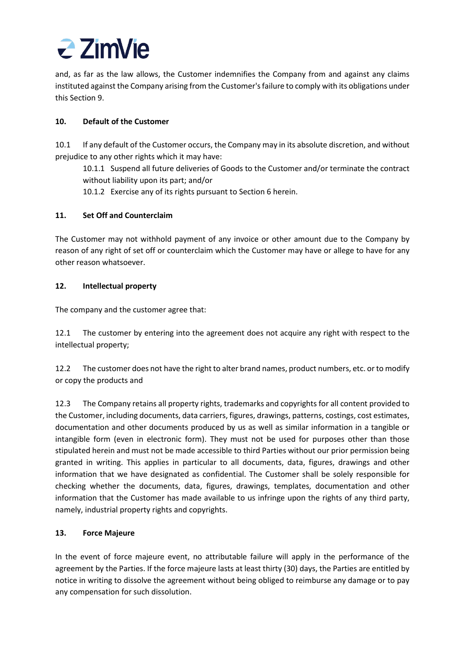

and, as far as the law allows, the Customer indemnifies the Company from and against any claims instituted against the Company arising from the Customer's failure to comply with its obligations under this Section 9.

## **10. Default of the Customer**

10.1 If any default of the Customer occurs, the Company may in its absolute discretion, and without prejudice to any other rights which it may have:

10.1.1 Suspend all future deliveries of Goods to the Customer and/or terminate the contract without liability upon its part; and/or

10.1.2 Exercise any of its rights pursuant to Section 6 herein.

## **11. Set Off and Counterclaim**

The Customer may not withhold payment of any invoice or other amount due to the Company by reason of any right of set off or counterclaim which the Customer may have or allege to have for any other reason whatsoever.

## **12. Intellectual property**

The company and the customer agree that:

12.1 The customer by entering into the agreement does not acquire any right with respect to the intellectual property;

12.2 The customer does not have the right to alter brand names, product numbers, etc. or to modify or copy the products and

12.3 The Company retains all property rights, trademarks and copyrights for all content provided to the Customer, including documents, data carriers, figures, drawings, patterns, costings, cost estimates, documentation and other documents produced by us as well as similar information in a tangible or intangible form (even in electronic form). They must not be used for purposes other than those stipulated herein and must not be made accessible to third Parties without our prior permission being granted in writing. This applies in particular to all documents, data, figures, drawings and other information that we have designated as confidential. The Customer shall be solely responsible for checking whether the documents, data, figures, drawings, templates, documentation and other information that the Customer has made available to us infringe upon the rights of any third party, namely, industrial property rights and copyrights.

# **13. Force Majeure**

In the event of force majeure event, no attributable failure will apply in the performance of the agreement by the Parties. If the force majeure lasts at least thirty (30) days, the Parties are entitled by notice in writing to dissolve the agreement without being obliged to reimburse any damage or to pay any compensation for such dissolution.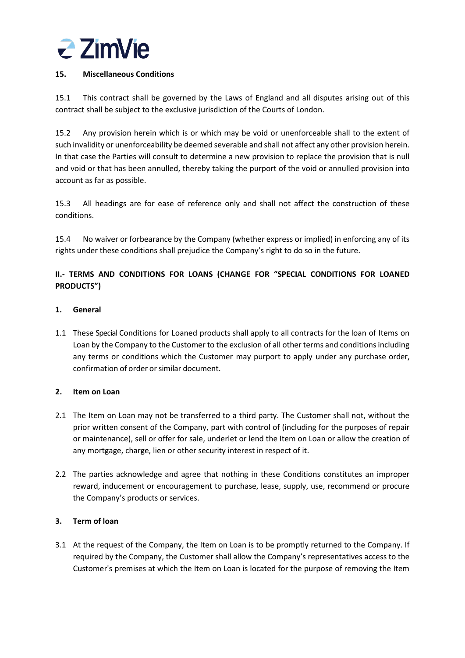

## **15. Miscellaneous Conditions**

15.1 This contract shall be governed by the Laws of England and all disputes arising out of this contract shall be subject to the exclusive jurisdiction of the Courts of London.

15.2 Any provision herein which is or which may be void or unenforceable shall to the extent of such invalidity or unenforceability be deemed severable and shall not affect any other provision herein. In that case the Parties will consult to determine a new provision to replace the provision that is null and void or that has been annulled, thereby taking the purport of the void or annulled provision into account as far as possible.

15.3 All headings are for ease of reference only and shall not affect the construction of these conditions.

15.4 No waiver or forbearance by the Company (whether express or implied) in enforcing any of its rights under these conditions shall prejudice the Company's right to do so in the future.

# **II.- TERMS AND CONDITIONS FOR LOANS (CHANGE FOR "SPECIAL CONDITIONS FOR LOANED PRODUCTS")**

### **1. General**

1.1 These Special Conditions for Loaned products shall apply to all contracts for the loan of Items on Loan by the Company to the Customer to the exclusion of all other terms and conditionsincluding any terms or conditions which the Customer may purport to apply under any purchase order, confirmation of order orsimilar document.

#### **2. Item on Loan**

- 2.1 The Item on Loan may not be transferred to a third party. The Customer shall not, without the prior written consent of the Company, part with control of (including for the purposes of repair or maintenance), sell or offer for sale, underlet or lend the Item on Loan or allow the creation of any mortgage, charge, lien or other security interest in respect of it.
- 2.2 The parties acknowledge and agree that nothing in these Conditions constitutes an improper reward, inducement or encouragement to purchase, lease, supply, use, recommend or procure the Company's products or services.

## **3. Term of loan**

3.1 At the request of the Company, the Item on Loan is to be promptly returned to the Company. If required by the Company, the Customer shall allow the Company's representatives access to the Customer's premises at which the Item on Loan is located for the purpose of removing the Item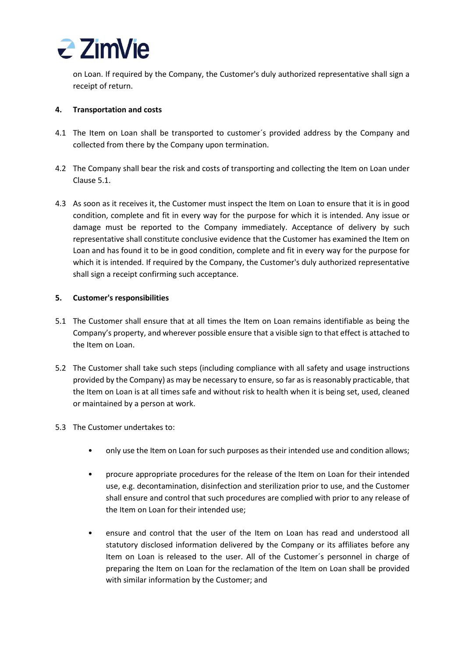

on Loan. If required by the Company, the Customer's duly authorized representative shall sign a receipt of return.

### **4. Transportation and costs**

- 4.1 The Item on Loan shall be transported to customer´s provided address by the Company and collected from there by the Company upon termination.
- 4.2 The Company shall bear the risk and costs of transporting and collecting the Item on Loan under Clause 5.1.
- 4.3 As soon as it receives it, the Customer must inspect the Item on Loan to ensure that it is in good condition, complete and fit in every way for the purpose for which it is intended. Any issue or damage must be reported to the Company immediately. Acceptance of delivery by such representative shall constitute conclusive evidence that the Customer has examined the Item on Loan and has found it to be in good condition, complete and fit in every way for the purpose for which it is intended. If required by the Company, the Customer's duly authorized representative shall sign a receipt confirming such acceptance.

### **5. Customer's responsibilities**

- 5.1 The Customer shall ensure that at all times the Item on Loan remains identifiable as being the Company's property, and wherever possible ensure that a visible sign to that effect is attached to the Item on Loan.
- 5.2 The Customer shall take such steps (including compliance with all safety and usage instructions provided by the Company) as may be necessary to ensure, so far as is reasonably practicable, that the Item on Loan is at all times safe and without risk to health when it is being set, used, cleaned or maintained by a person at work.
- 5.3 The Customer undertakes to:
	- only use the Item on Loan for such purposes as their intended use and condition allows;
	- procure appropriate procedures for the release of the Item on Loan for their intended use, e.g. decontamination, disinfection and sterilization prior to use, and the Customer shall ensure and control that such procedures are complied with prior to any release of the Item on Loan for their intended use;
	- ensure and control that the user of the Item on Loan has read and understood all statutory disclosed information delivered by the Company or its affiliates before any Item on Loan is released to the user. All of the Customer´s personnel in charge of preparing the Item on Loan for the reclamation of the Item on Loan shall be provided with similar information by the Customer; and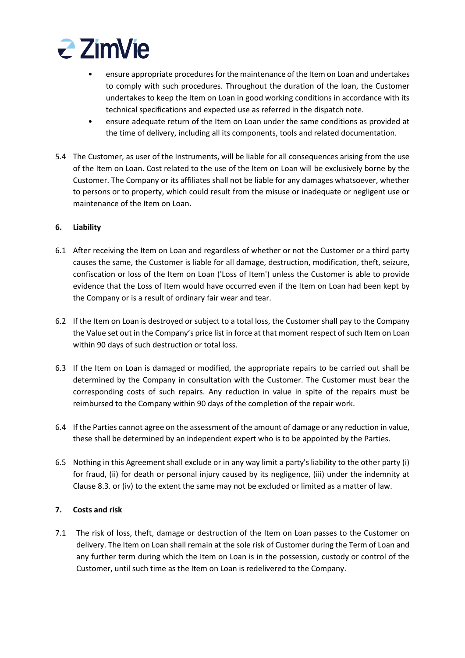

- ensure appropriate procedures for the maintenance of the Item on Loan and undertakes to comply with such procedures. Throughout the duration of the loan, the Customer undertakes to keep the Item on Loan in good working conditions in accordance with its technical specifications and expected use as referred in the dispatch note.
- ensure adequate return of the Item on Loan under the same conditions as provided at the time of delivery, including all its components, tools and related documentation.
- 5.4 The Customer, as user of the Instruments, will be liable for all consequences arising from the use of the Item on Loan. Cost related to the use of the Item on Loan will be exclusively borne by the Customer. The Company or its affiliates shall not be liable for any damages whatsoever, whether to persons or to property, which could result from the misuse or inadequate or negligent use or maintenance of the Item on Loan.

### **6. Liability**

- 6.1 After receiving the Item on Loan and regardless of whether or not the Customer or a third party causes the same, the Customer is liable for all damage, destruction, modification, theft, seizure, confiscation or loss of the Item on Loan ('Loss of Item') unless the Customer is able to provide evidence that the Loss of Item would have occurred even if the Item on Loan had been kept by the Company or is a result of ordinary fair wear and tear.
- 6.2 If the Item on Loan is destroyed or subject to a total loss, the Customer shall pay to the Company the Value set out in the Company's price list in force at that moment respect of such Item on Loan within 90 days of such destruction or total loss.
- 6.3 If the Item on Loan is damaged or modified, the appropriate repairs to be carried out shall be determined by the Company in consultation with the Customer. The Customer must bear the corresponding costs of such repairs. Any reduction in value in spite of the repairs must be reimbursed to the Company within 90 days of the completion of the repair work.
- 6.4 If the Parties cannot agree on the assessment of the amount of damage or any reduction in value, these shall be determined by an independent expert who is to be appointed by the Parties.
- 6.5 Nothing in this Agreement shall exclude or in any way limit a party's liability to the other party (i) for fraud, (ii) for death or personal injury caused by its negligence, (iii) under the indemnity at Clause 8.3. or (iv) to the extent the same may not be excluded or limited as a matter of law.

#### **7. Costs and risk**

7.1 The risk of loss, theft, damage or destruction of the Item on Loan passes to the Customer on delivery. The Item on Loan shall remain at the sole risk of Customer during the Term of Loan and any further term during which the Item on Loan is in the possession, custody or control of the Customer, until such time as the Item on Loan is redelivered to the Company.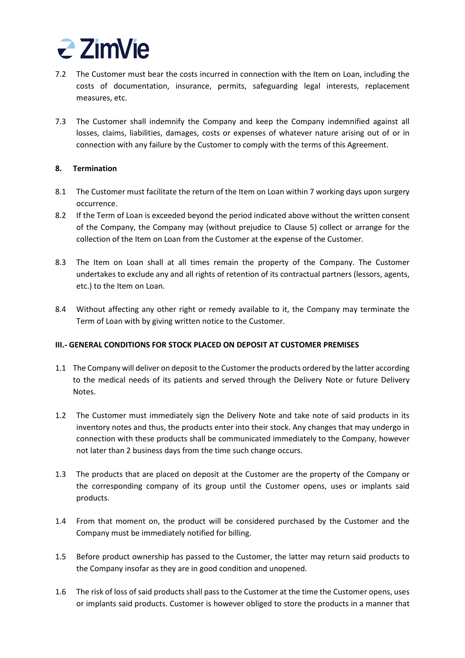

- 7.2 The Customer must bear the costs incurred in connection with the Item on Loan, including the costs of documentation, insurance, permits, safeguarding legal interests, replacement measures, etc.
- 7.3 The Customer shall indemnify the Company and keep the Company indemnified against all losses, claims, liabilities, damages, costs or expenses of whatever nature arising out of or in connection with any failure by the Customer to comply with the terms of this Agreement.

### **8. Termination**

- 8.1 The Customer must facilitate the return of the Item on Loan within 7 working days upon surgery occurrence.
- 8.2 If the Term of Loan is exceeded beyond the period indicated above without the written consent of the Company, the Company may (without prejudice to Clause 5) collect or arrange for the collection of the Item on Loan from the Customer at the expense of the Customer.
- 8.3 The Item on Loan shall at all times remain the property of the Company. The Customer undertakes to exclude any and all rights of retention of its contractual partners (lessors, agents, etc.) to the Item on Loan.
- 8.4 Without affecting any other right or remedy available to it, the Company may terminate the Term of Loan with by giving written notice to the Customer.

## **III.- GENERAL CONDITIONS FOR STOCK PLACED ON DEPOSIT AT CUSTOMER PREMISES**

- 1.1 The Company will deliver on deposit to the Customerthe products ordered by the latter according to the medical needs of its patients and served through the Delivery Note or future Delivery Notes.
- 1.2 The Customer must immediately sign the Delivery Note and take note of said products in its inventory notes and thus, the products enter into their stock. Any changes that may undergo in connection with these products shall be communicated immediately to the Company, however not later than 2 business days from the time such change occurs.
- 1.3 The products that are placed on deposit at the Customer are the property of the Company or the corresponding company of its group until the Customer opens, uses or implants said products.
- 1.4 From that moment on, the product will be considered purchased by the Customer and the Company must be immediately notified for billing.
- 1.5 Before product ownership has passed to the Customer, the latter may return said products to the Company insofar as they are in good condition and unopened.
- 1.6 The risk of loss of said products shall pass to the Customer at the time the Customer opens, uses or implants said products. Customer is however obliged to store the products in a manner that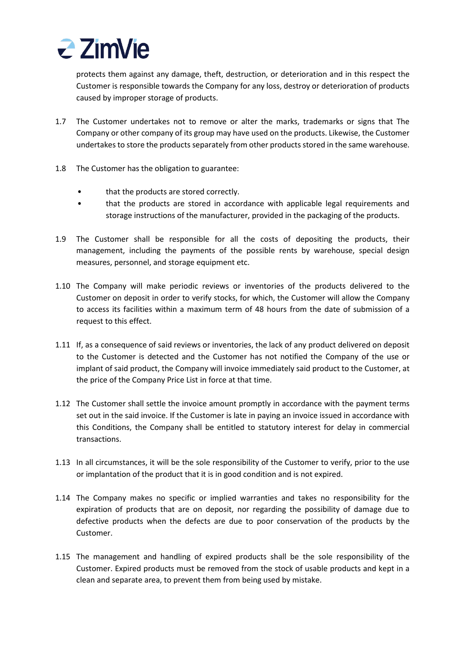

protects them against any damage, theft, destruction, or deterioration and in this respect the Customer is responsible towards the Company for any loss, destroy or deterioration of products caused by improper storage of products.

- 1.7 The Customer undertakes not to remove or alter the marks, trademarks or signs that The Company or other company of its group may have used on the products. Likewise, the Customer undertakes to store the products separately from other products stored in the same warehouse.
- 1.8 The Customer has the obligation to guarantee:
	- that the products are stored correctly.
	- that the products are stored in accordance with applicable legal requirements and storage instructions of the manufacturer, provided in the packaging of the products.
- 1.9 The Customer shall be responsible for all the costs of depositing the products, their management, including the payments of the possible rents by warehouse, special design measures, personnel, and storage equipment etc.
- 1.10 The Company will make periodic reviews or inventories of the products delivered to the Customer on deposit in order to verify stocks, for which, the Customer will allow the Company to access its facilities within a maximum term of 48 hours from the date of submission of a request to this effect.
- 1.11 If, as a consequence of said reviews or inventories, the lack of any product delivered on deposit to the Customer is detected and the Customer has not notified the Company of the use or implant of said product, the Company will invoice immediately said product to the Customer, at the price of the Company Price List in force at that time.
- 1.12 The Customer shall settle the invoice amount promptly in accordance with the payment terms set out in the said invoice. If the Customer is late in paying an invoice issued in accordance with this Conditions, the Company shall be entitled to statutory interest for delay in commercial transactions.
- 1.13 In all circumstances, it will be the sole responsibility of the Customer to verify, prior to the use or implantation of the product that it is in good condition and is not expired.
- 1.14 The Company makes no specific or implied warranties and takes no responsibility for the expiration of products that are on deposit, nor regarding the possibility of damage due to defective products when the defects are due to poor conservation of the products by the Customer.
- 1.15 The management and handling of expired products shall be the sole responsibility of the Customer. Expired products must be removed from the stock of usable products and kept in a clean and separate area, to prevent them from being used by mistake.